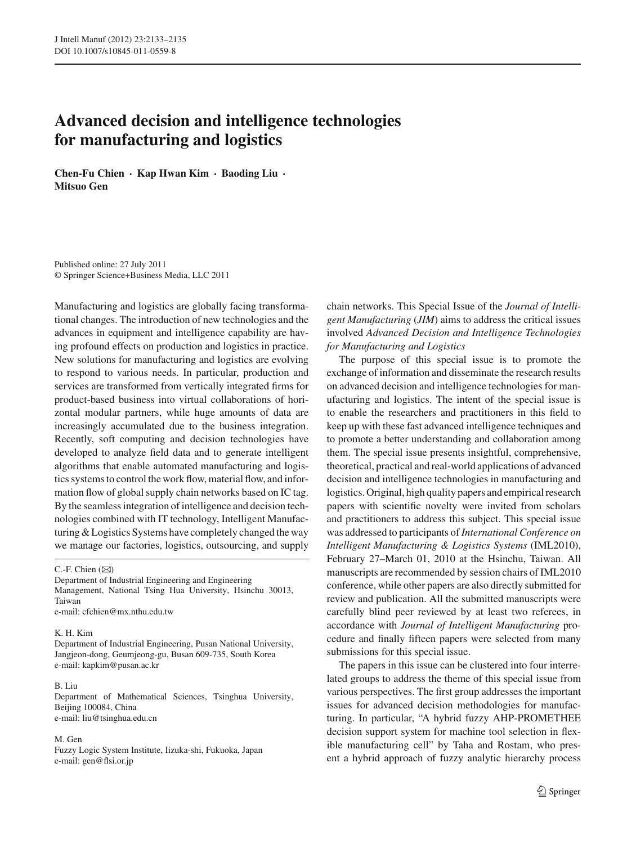## **Advanced decision and intelligence technologies for manufacturing and logistics**

**Chen-Fu Chien · Kap Hwan Kim · Baoding Liu · Mitsuo Gen**

Published online: 27 July 2011 © Springer Science+Business Media, LLC 2011

Manufacturing and logistics are globally facing transformational changes. The introduction of new technologies and the advances in equipment and intelligence capability are having profound effects on production and logistics in practice. New solutions for manufacturing and logistics are evolving to respond to various needs. In particular, production and services are transformed from vertically integrated firms for product-based business into virtual collaborations of horizontal modular partners, while huge amounts of data are increasingly accumulated due to the business integration. Recently, soft computing and decision technologies have developed to analyze field data and to generate intelligent algorithms that enable automated manufacturing and logistics systems to control the work flow, material flow, and information flow of global supply chain networks based on IC tag. By the seamless integration of intelligence and decision technologies combined with IT technology, Intelligent Manufacturing & Logistics Systems have completely changed the way we manage our factories, logistics, outsourcing, and supply

C.-F. Chien  $(\boxtimes)$ 

Department of Industrial Engineering and Engineering Management, National Tsing Hua University, Hsinchu 30013, Taiwan e-mail: cfchien@mx.nthu.edu.tw

## K. H. Kim

Department of Industrial Engineering, Pusan National University, Jangjeon-dong, Geumjeong-gu, Busan 609-735, South Korea e-mail: kapkim@pusan.ac.kr

## B. Liu

Department of Mathematical Sciences, Tsinghua University, Beijing 100084, China e-mail: liu@tsinghua.edu.cn

## M. Gen

Fuzzy Logic System Institute, Iizuka-shi, Fukuoka, Japan e-mail: gen@flsi.or.jp

chain networks. This Special Issue of the *Journal of Intelligent Manufacturing* (*JIM*) aims to address the critical issues involved *Advanced Decision and Intelligence Technologies for Manufacturing and Logistics*

The purpose of this special issue is to promote the exchange of information and disseminate the research results on advanced decision and intelligence technologies for manufacturing and logistics. The intent of the special issue is to enable the researchers and practitioners in this field to keep up with these fast advanced intelligence techniques and to promote a better understanding and collaboration among them. The special issue presents insightful, comprehensive, theoretical, practical and real-world applications of advanced decision and intelligence technologies in manufacturing and logistics. Original, high quality papers and empirical research papers with scientific novelty were invited from scholars and practitioners to address this subject. This special issue was addressed to participants of *International Conference on Intelligent Manufacturing & Logistics Systems* (IML2010), February 27–March 01, 2010 at the Hsinchu, Taiwan. All manuscripts are recommended by session chairs of IML2010 conference, while other papers are also directly submitted for review and publication. All the submitted manuscripts were carefully blind peer reviewed by at least two referees, in accordance with *Journal of Intelligent Manufacturing* procedure and finally fifteen papers were selected from many submissions for this special issue.

The papers in this issue can be clustered into four interrelated groups to address the theme of this special issue from various perspectives. The first group addresses the important issues for advanced decision methodologies for manufacturing. In particular, "A hybrid fuzzy AHP-PROMETHEE decision support system for machine tool selection in flexible manufacturing cell" by Taha and Rostam, who present a hybrid approach of fuzzy analytic hierarchy process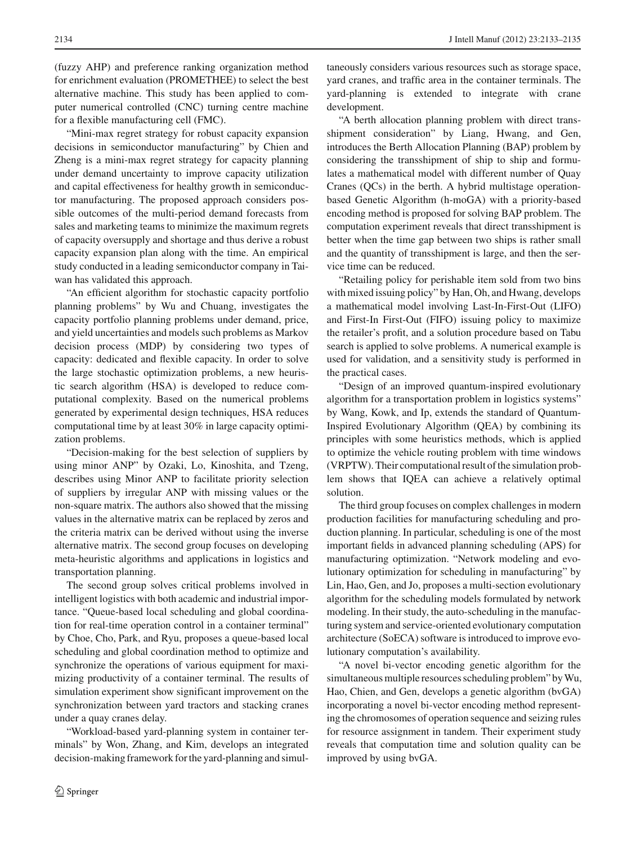(fuzzy AHP) and preference ranking organization method for enrichment evaluation (PROMETHEE) to select the best alternative machine. This study has been applied to computer numerical controlled (CNC) turning centre machine for a flexible manufacturing cell (FMC).

"Mini-max regret strategy for robust capacity expansion decisions in semiconductor manufacturing" by Chien and Zheng is a mini-max regret strategy for capacity planning under demand uncertainty to improve capacity utilization and capital effectiveness for healthy growth in semiconductor manufacturing. The proposed approach considers possible outcomes of the multi-period demand forecasts from sales and marketing teams to minimize the maximum regrets of capacity oversupply and shortage and thus derive a robust capacity expansion plan along with the time. An empirical study conducted in a leading semiconductor company in Taiwan has validated this approach.

"An efficient algorithm for stochastic capacity portfolio planning problems" by Wu and Chuang, investigates the capacity portfolio planning problems under demand, price, and yield uncertainties and models such problems as Markov decision process (MDP) by considering two types of capacity: dedicated and flexible capacity. In order to solve the large stochastic optimization problems, a new heuristic search algorithm (HSA) is developed to reduce computational complexity. Based on the numerical problems generated by experimental design techniques, HSA reduces computational time by at least 30% in large capacity optimization problems.

"Decision-making for the best selection of suppliers by using minor ANP" by Ozaki, Lo, Kinoshita, and Tzeng, describes using Minor ANP to facilitate priority selection of suppliers by irregular ANP with missing values or the non-square matrix. The authors also showed that the missing values in the alternative matrix can be replaced by zeros and the criteria matrix can be derived without using the inverse alternative matrix. The second group focuses on developing meta-heuristic algorithms and applications in logistics and transportation planning.

The second group solves critical problems involved in intelligent logistics with both academic and industrial importance. "Queue-based local scheduling and global coordination for real-time operation control in a container terminal" by Choe, Cho, Park, and Ryu, proposes a queue-based local scheduling and global coordination method to optimize and synchronize the operations of various equipment for maximizing productivity of a container terminal. The results of simulation experiment show significant improvement on the synchronization between yard tractors and stacking cranes under a quay cranes delay.

"Workload-based yard-planning system in container terminals" by Won, Zhang, and Kim, develops an integrated decision-making framework for the yard-planning and simul-

taneously considers various resources such as storage space, yard cranes, and traffic area in the container terminals. The yard-planning is extended to integrate with crane development.

"A berth allocation planning problem with direct transshipment consideration" by Liang, Hwang, and Gen, introduces the Berth Allocation Planning (BAP) problem by considering the transshipment of ship to ship and formulates a mathematical model with different number of Quay Cranes (QCs) in the berth. A hybrid multistage operationbased Genetic Algorithm (h-moGA) with a priority-based encoding method is proposed for solving BAP problem. The computation experiment reveals that direct transshipment is better when the time gap between two ships is rather small and the quantity of transshipment is large, and then the service time can be reduced.

"Retailing policy for perishable item sold from two bins with mixed issuing policy" by Han, Oh, and Hwang, develops a mathematical model involving Last-In-First-Out (LIFO) and First-In First-Out (FIFO) issuing policy to maximize the retailer's profit, and a solution procedure based on Tabu search is applied to solve problems. A numerical example is used for validation, and a sensitivity study is performed in the practical cases.

"Design of an improved quantum-inspired evolutionary algorithm for a transportation problem in logistics systems" by Wang, Kowk, and Ip, extends the standard of Quantum-Inspired Evolutionary Algorithm (QEA) by combining its principles with some heuristics methods, which is applied to optimize the vehicle routing problem with time windows (VRPTW). Their computational result of the simulation problem shows that IQEA can achieve a relatively optimal solution.

The third group focuses on complex challenges in modern production facilities for manufacturing scheduling and production planning. In particular, scheduling is one of the most important fields in advanced planning scheduling (APS) for manufacturing optimization. "Network modeling and evolutionary optimization for scheduling in manufacturing" by Lin, Hao, Gen, and Jo, proposes a multi-section evolutionary algorithm for the scheduling models formulated by network modeling. In their study, the auto-scheduling in the manufacturing system and service-oriented evolutionary computation architecture (SoECA) software is introduced to improve evolutionary computation's availability.

"A novel bi-vector encoding genetic algorithm for the simultaneous multiple resources scheduling problem" by Wu, Hao, Chien, and Gen, develops a genetic algorithm (bvGA) incorporating a novel bi-vector encoding method representing the chromosomes of operation sequence and seizing rules for resource assignment in tandem. Their experiment study reveals that computation time and solution quality can be improved by using bvGA.